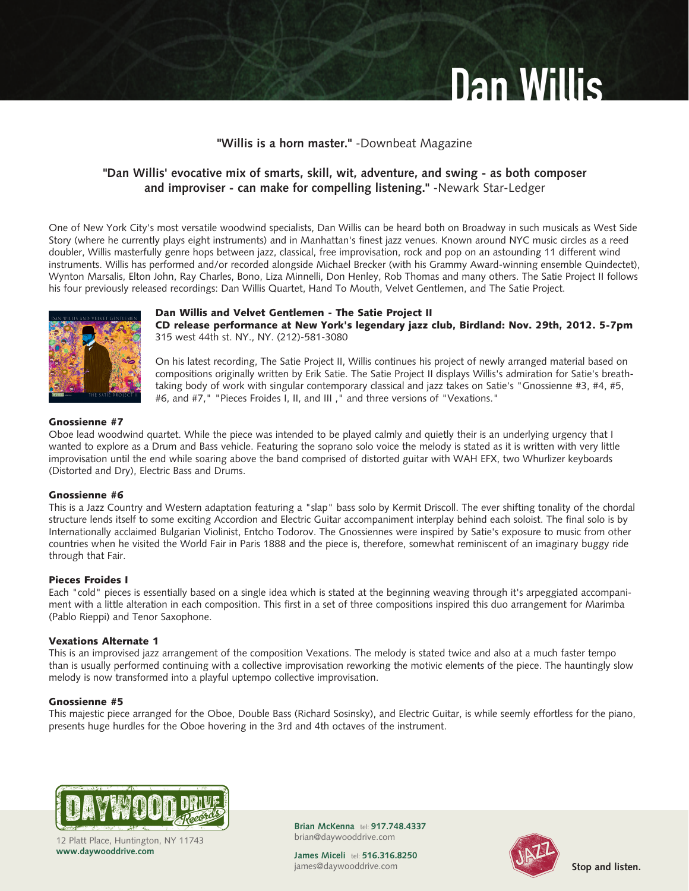# Dan Willis

### **"Willis is a horn master."** -Downbeat Magazine

## **"Dan Willis' evocative mix of smarts, skill, wit, adventure, and swing - as both composer and improviser - can make for compelling listening."** -Newark Star-Ledger

One of New York City's most versatile woodwind specialists, Dan Willis can be heard both on Broadway in such musicals as West Side Story (where he currently plays eight instruments) and in Manhattan's finest jazz venues. Known around NYC music circles as a reed doubler, Willis masterfully genre hops between jazz, classical, free improvisation, rock and pop on an astounding 11 different wind instruments. Willis has performed and/or recorded alongside Michael Brecker (with his Grammy Award-winning ensemble Quindectet), Wynton Marsalis, Elton John, Ray Charles, Bono, Liza Minnelli, Don Henley, Rob Thomas and many others. The Satie Project II follows his four previously released recordings: Dan Willis Quartet, Hand To Mouth, Velvet Gentlemen, and The Satie Project.



Dan Willis and Velvet Gentlemen - The Satie Project II CD release performance at New York's legendary jazz club, Birdland: Nov. 29th, 2012. 5-7pm 315 west 44th st. NY., NY. (212)-581-3080

On his latest recording, The Satie Project II, Willis continues his project of newly arranged material based on compositions originally written by Erik Satie. The Satie Project II displays Willis's admiration for Satie's breathtaking body of work with singular contemporary classical and jazz takes on Satie's "Gnossienne #3, #4, #5, #6, and #7," "Pieces Froides I, II, and III ," and three versions of "Vexations."

### Gnossienne #7

Oboe lead woodwind quartet. While the piece was intended to be played calmly and quietly their is an underlying urgency that I wanted to explore as a Drum and Bass vehicle. Featuring the soprano solo voice the melody is stated as it is written with very little improvisation until the end while soaring above the band comprised of distorted guitar with WAH EFX, two Whurlizer keyboards (Distorted and Dry), Electric Bass and Drums.

### Gnossienne #6

This is a Jazz Country and Western adaptation featuring a "slap" bass solo by Kermit Driscoll. The ever shifting tonality of the chordal structure lends itself to some exciting Accordion and Electric Guitar accompaniment interplay behind each soloist. The final solo is by Internationally acclaimed Bulgarian Violinist, Entcho Todorov. The Gnossiennes were inspired by Satie's exposure to music from other countries when he visited the World Fair in Paris 1888 and the piece is, therefore, somewhat reminiscent of an imaginary buggy ride through that Fair.

### Pieces Froides I

Each "cold" pieces is essentially based on a single idea which is stated at the beginning weaving through it's arpeggiated accompaniment with a little alteration in each composition. This first in a set of three compositions inspired this duo arrangement for Marimba (Pablo Rieppi) and Tenor Saxophone.

### Vexations Alternate 1

This is an improvised jazz arrangement of the composition Vexations. The melody is stated twice and also at a much faster tempo than is usually performed continuing with a collective improvisation reworking the motivic elements of the piece. The hauntingly slow melody is now transformed into a playful uptempo collective improvisation.

### Gnossienne #5

This majestic piece arranged for the Oboe, Double Bass (Richard Sosinsky), and Electric Guitar, is while seemly effortless for the piano, presents huge hurdles for the Oboe hovering in the 3rd and 4th octaves of the instrument.



12 Platt Place, Huntington, NY 11743 **www.daywooddrive.com**

**Brian McKenna** tel: **917.748.4337** brian@daywooddrive.com

**James Miceli** tel: **516.316.8250** james@daywooddrive.com



**Stop and listen.**